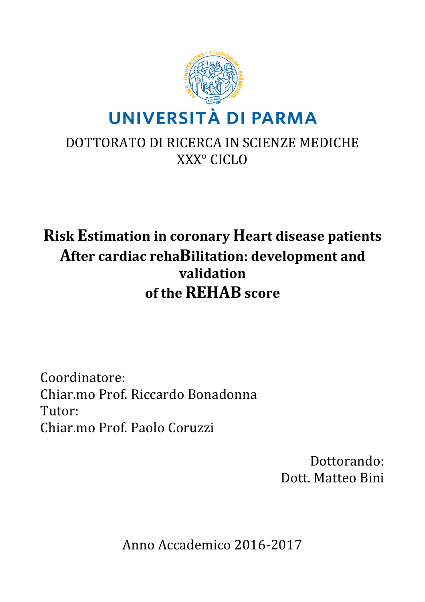

# DOTTORATO DI RICERCA IN SCIENZE MEDICHE XXX° CICLO

# **Risk Estimation in coronary Heart disease patients** After cardiac rehaBilitation: development and **validation of the REHAB score**

Coordinatore: Chiar.mo Prof. Riccardo Bonadonna Tutor: Chiar.mo Prof. Paolo Coruzzi

> Dottorando: Dott. Matteo Bini

Anno Accademico 2016-2017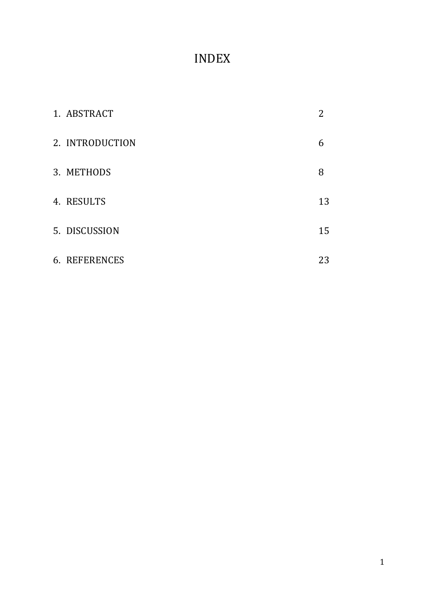# INDEX

| 1. ABSTRACT          | 2  |
|----------------------|----|
| 2. INTRODUCTION      | 6  |
| 3. METHODS           | 8  |
| 4. RESULTS           | 13 |
| 5. DISCUSSION        | 15 |
| <b>6. REFERENCES</b> | 23 |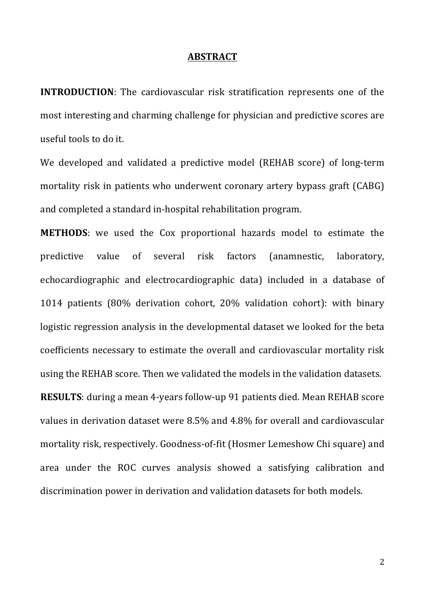#### **ABSTRACT**

**INTRODUCTION:** The cardiovascular risk stratification represents one of the most interesting and charming challenge for physician and predictive scores are useful tools to do it.

We developed and validated a predictive model (REHAB score) of long-term mortality risk in patients who underwent coronary artery bypass graft (CABG) and completed a standard in-hospital rehabilitation program.

**METHODS**: we used the Cox proportional hazards model to estimate the predictive value of several risk factors (anamnestic, laboratory, echocardiographic and electrocardiographic data) included in a database of 1014 patients (80% derivation cohort, 20% validation cohort): with binary logistic regression analysis in the developmental dataset we looked for the beta coefficients necessary to estimate the overall and cardiovascular mortality risk using the REHAB score. Then we validated the models in the validation datasets. **RESULTS**: during a mean 4-years follow-up 91 patients died. Mean REHAB score values in derivation dataset were 8.5% and 4.8% for overall and cardiovascular mortality risk, respectively. Goodness-of-fit (Hosmer Lemeshow Chi square) and area under the ROC curves analysis showed a satisfying calibration and discrimination power in derivation and validation datasets for both models.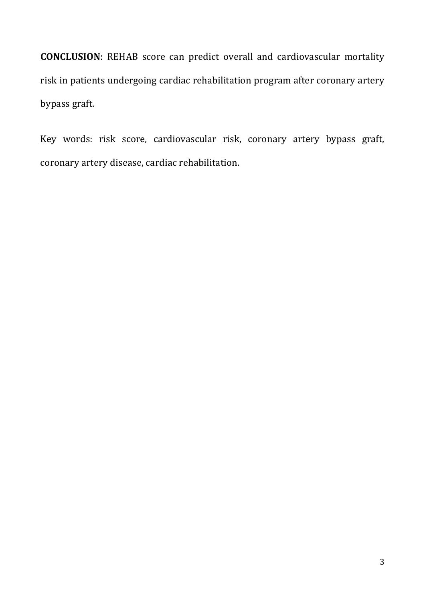**CONCLUSION**: REHAB score can predict overall and cardiovascular mortality risk in patients undergoing cardiac rehabilitation program after coronary artery bypass graft.

Key words: risk score, cardiovascular risk, coronary artery bypass graft, coronary artery disease, cardiac rehabilitation.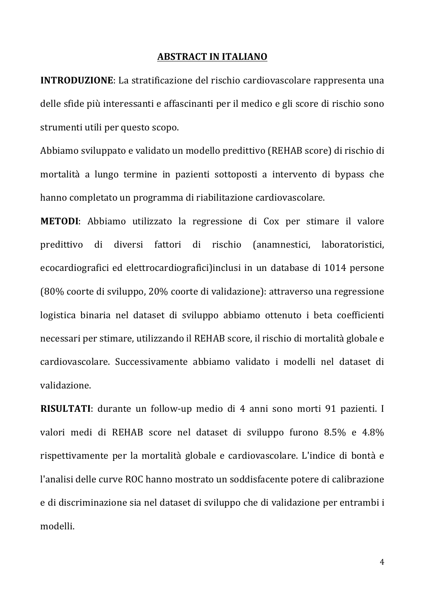#### **ABSTRACT IN ITALIANO**

**INTRODUZIONE:** La stratificazione del rischio cardiovascolare rappresenta una delle sfide più interessanti e affascinanti per il medico e gli score di rischio sono strumenti utili per questo scopo.

Abbiamo sviluppato e validato un modello predittivo (REHAB score) di rischio di mortalità a lungo termine in pazienti sottoposti a intervento di bypass che hanno completato un programma di riabilitazione cardiovascolare.

**METODI**: Abbiamo utilizzato la regressione di Cox per stimare il valore predittivo di diversi fattori di rischio (anamnestici, laboratoristici, ecocardiografici ed elettrocardiografici)inclusi in un database di 1014 persone (80% coorte di sviluppo, 20% coorte di validazione): attraverso una regressione logistica binaria nel dataset di sviluppo abbiamo ottenuto i beta coefficienti necessari per stimare, utilizzando il REHAB score, il rischio di mortalità globale e cardiovascolare. Successivamente abbiamo validato i modelli nel dataset di validazione.

**RISULTATI:** durante un follow-up medio di 4 anni sono morti 91 pazienti. I valori medi di REHAB score nel dataset di sviluppo furono 8.5% e 4.8% rispettivamente per la mortalità globale e cardiovascolare. L'indice di bontà e l'analisi delle curve ROC hanno mostrato un soddisfacente potere di calibrazione e di discriminazione sia nel dataset di sviluppo che di validazione per entrambi i modelli.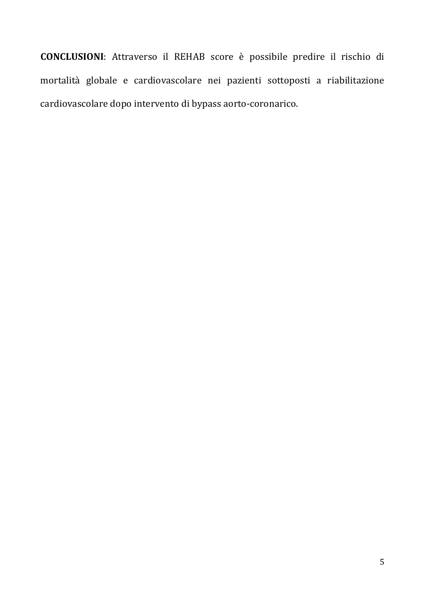**CONCLUSIONI**: Attraverso il REHAB score è possibile predire il rischio di mortalità globale e cardiovascolare nei pazienti sottoposti a riabilitazione cardiovascolare dopo intervento di bypass aorto-coronarico.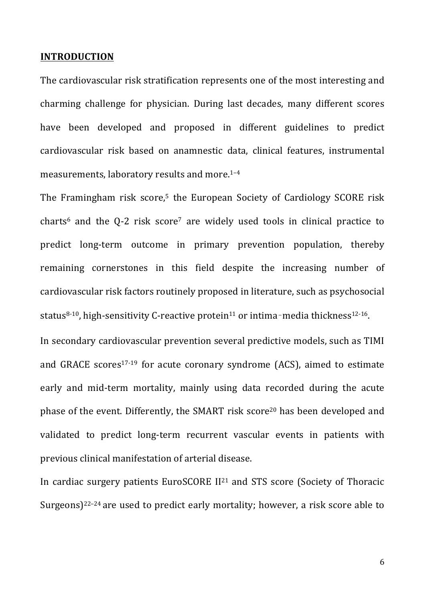#### **INTRODUCTION**

The cardiovascular risk stratification represents one of the most interesting and charming challenge for physician. During last decades, many different scores have been developed and proposed in different guidelines to predict cardiovascular risk based on anamnestic data, clinical features, instrumental measurements, laboratory results and more. $1-4$ 

The Framingham risk score,<sup>5</sup> the European Society of Cardiology SCORE risk charts<sup>6</sup> and the Q-2 risk score<sup>7</sup> are widely used tools in clinical practice to predict long-term outcome in primary prevention population, thereby remaining cornerstones in this field despite the increasing number of cardiovascular risk factors routinely proposed in literature, such as psychosocial status<sup>8-10</sup>, high-sensitivity C-reactive protein<sup>11</sup> or intima-media thickness<sup>12-16</sup>.

In secondary cardiovascular prevention several predictive models, such as TIMI and GRACE scores<sup>17-19</sup> for acute coronary syndrome  $(ACS)$ , aimed to estimate early and mid-term mortality, mainly using data recorded during the acute phase of the event. Differently, the SMART risk score<sup>20</sup> has been developed and validated to predict long-term recurrent vascular events in patients with previous clinical manifestation of arterial disease.

In cardiac surgery patients  $EuroSCORE II<sup>21</sup>$  and STS score (Society of Thoracic Surgeons)<sup>22–24</sup> are used to predict early mortality; however, a risk score able to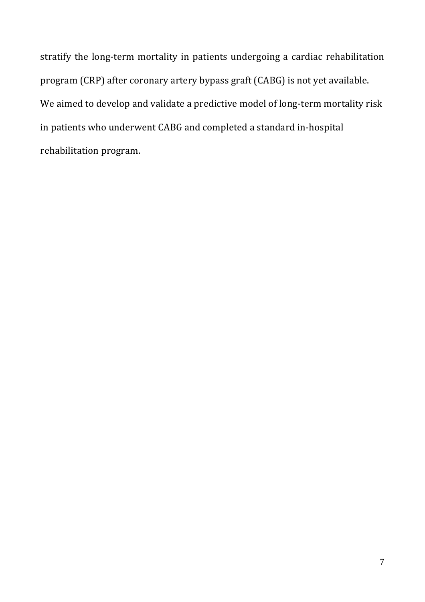stratify the long-term mortality in patients undergoing a cardiac rehabilitation program (CRP) after coronary artery bypass graft (CABG) is not yet available. We aimed to develop and validate a predictive model of long-term mortality risk in patients who underwent CABG and completed a standard in-hospital rehabilitation program.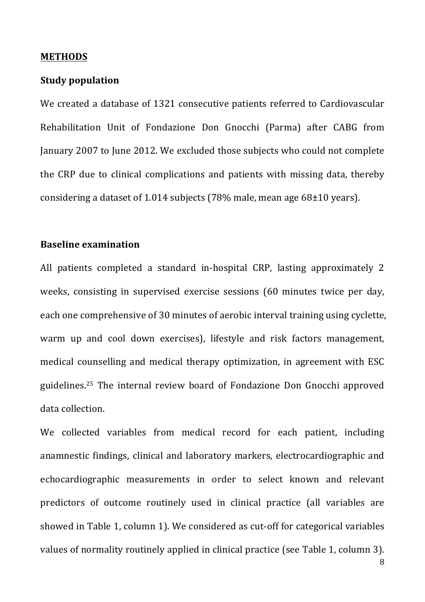#### **METHODS**

#### **Study population**

We created a database of 1321 consecutive patients referred to Cardiovascular Rehabilitation Unit of Fondazione Don Gnocchi (Parma) after CABG from January 2007 to June 2012. We excluded those subjects who could not complete the CRP due to clinical complications and patients with missing data, thereby considering a dataset of 1.014 subjects  $(78\%$  male, mean age  $68\pm10$  years).

#### **Baseline examination**

All patients completed a standard in-hospital CRP, lasting approximately 2 weeks, consisting in supervised exercise sessions (60 minutes twice per day, each one comprehensive of 30 minutes of aerobic interval training using cyclette, warm up and cool down exercises), lifestyle and risk factors management, medical counselling and medical therapy optimization, in agreement with ESC guidelines.<sup>25</sup> The internal review board of Fondazione Don Gnocchi approved data collection.

We collected variables from medical record for each patient, including anamnestic findings, clinical and laboratory markers, electrocardiographic and echocardiographic measurements in order to select known and relevant predictors of outcome routinely used in clinical practice (all variables are showed in Table 1, column 1). We considered as cut-off for categorical variables values of normality routinely applied in clinical practice (see Table 1, column 3).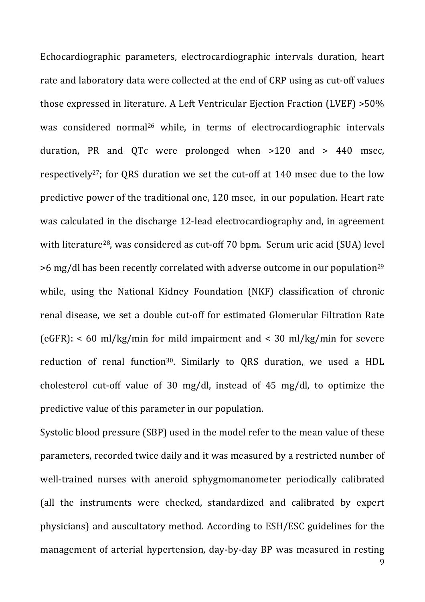Echocardiographic parameters, electrocardiographic intervals duration, heart rate and laboratory data were collected at the end of CRP using as cut-off values those expressed in literature. A Left Ventricular Ejection Fraction (LVEF)  $>50\%$ was considered normal<sup>26</sup> while, in terms of electrocardiographic intervals duration, PR and QTc were prolonged when  $>120$  and  $> 440$  msec, respectively<sup>27</sup>; for QRS duration we set the cut-off at  $140$  msec due to the low predictive power of the traditional one, 120 msec, in our population. Heart rate was calculated in the discharge 12-lead electrocardiography and, in agreement with literature<sup>28</sup>, was considered as cut-off 70 bpm. Serum uric acid (SUA) level  $>6$  mg/dl has been recently correlated with adverse outcome in our population<sup>29</sup> while, using the National Kidney Foundation (NKF) classification of chronic renal disease, we set a double cut-off for estimated Glomerular Filtration Rate  $\text{[eGFR]}$ : < 60 ml/kg/min for mild impairment and < 30 ml/kg/min for severe reduction of renal function<sup>30</sup>. Similarly to QRS duration, we used a HDL cholesterol cut-off value of 30 mg/dl, instead of 45 mg/dl, to optimize the predictive value of this parameter in our population.

Systolic blood pressure (SBP) used in the model refer to the mean value of these parameters, recorded twice daily and it was measured by a restricted number of well-trained nurses with aneroid sphygmomanometer periodically calibrated (all the instruments were checked, standardized and calibrated by expert physicians) and auscultatory method. According to ESH/ESC guidelines for the management of arterial hypertension, day-by-day BP was measured in resting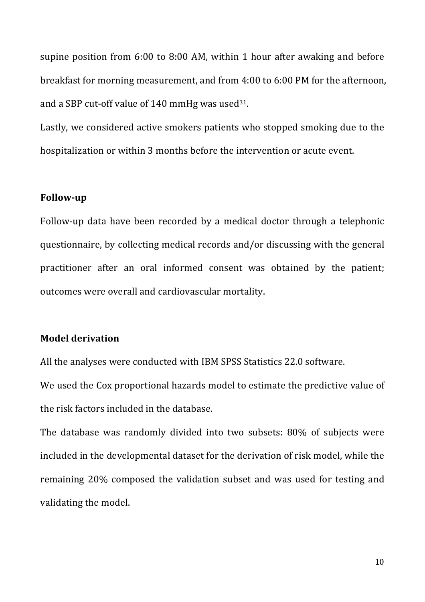supine position from  $6:00$  to  $8:00$  AM, within 1 hour after awaking and before breakfast for morning measurement, and from 4:00 to 6:00 PM for the afternoon, and a SBP cut-off value of 140 mmHg was used $31$ .

Lastly, we considered active smokers patients who stopped smoking due to the hospitalization or within 3 months before the intervention or acute event.

## **Follow-up**

Follow-up data have been recorded by a medical doctor through a telephonic questionnaire, by collecting medical records and/or discussing with the general practitioner after an oral informed consent was obtained by the patient; outcomes were overall and cardiovascular mortality.

## **Model derivation**

All the analyses were conducted with IBM SPSS Statistics 22.0 software.

We used the Cox proportional hazards model to estimate the predictive value of the risk factors included in the database.

The database was randomly divided into two subsets:  $80\%$  of subjects were included in the developmental dataset for the derivation of risk model, while the remaining 20% composed the validation subset and was used for testing and validating the model.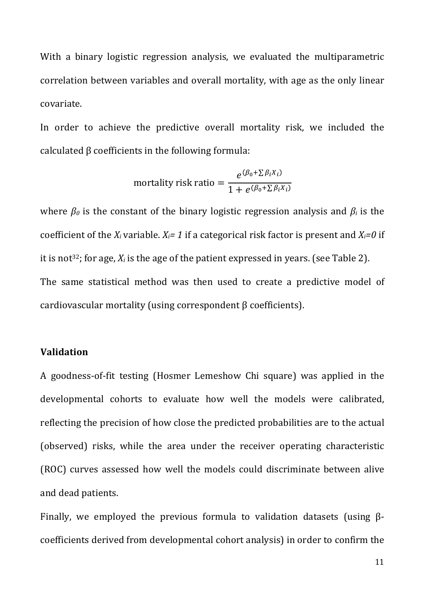With a binary logistic regression analysis, we evaluated the multiparametric correlation between variables and overall mortality, with age as the only linear covariate.

In order to achieve the predictive overall mortality risk, we included the calculated  $\beta$  coefficients in the following formula:

mortality risk ratio = 
$$
\frac{e^{(\beta_0 + \sum \beta_i X_i)}}{1 + e^{(\beta_0 + \sum \beta_i X_i)}}
$$

where  $\beta_0$  is the constant of the binary logistic regression analysis and  $\beta_i$  is the coefficient of the  $X_i$  variable.  $X_i = 1$  if a categorical risk factor is present and  $X_i = 0$  if it is not<sup>32</sup>; for age,  $X_i$  is the age of the patient expressed in years. (see Table 2). The same statistical method was then used to create a predictive model of cardiovascular mortality (using correspondent  $\beta$  coefficients).

#### **Validation**

A goodness-of-fit testing (Hosmer Lemeshow Chi square) was applied in the developmental cohorts to evaluate how well the models were calibrated, reflecting the precision of how close the predicted probabilities are to the actual (observed) risks, while the area under the receiver operating characteristic (ROC) curves assessed how well the models could discriminate between alive and dead patients.

Finally, we employed the previous formula to validation datasets (using  $\beta$ coefficients derived from developmental cohort analysis) in order to confirm the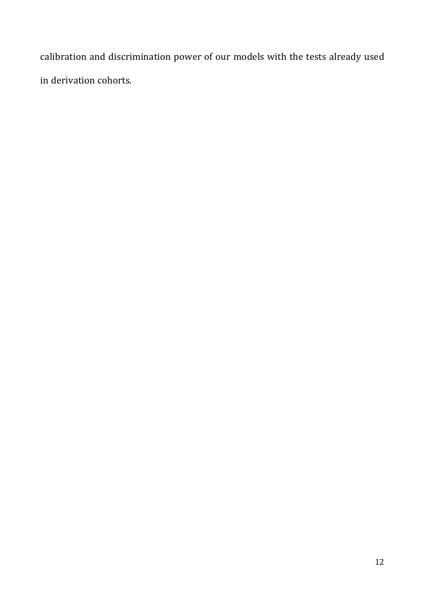calibration and discrimination power of our models with the tests already used in derivation cohorts.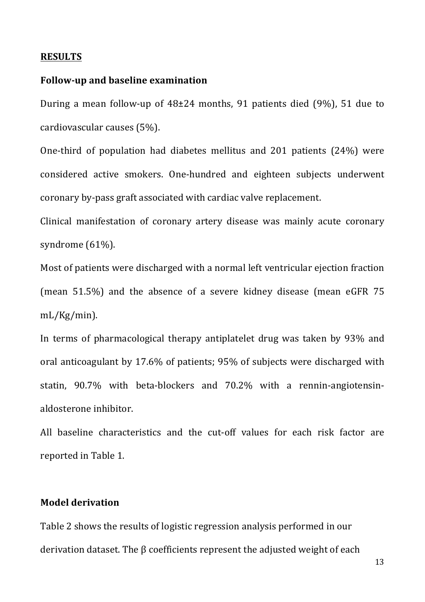#### **RESULTS**

#### **Follow-up and baseline examination**

During a mean follow-up of  $48\pm 24$  months, 91 patients died (9%), 51 due to cardiovascular causes  $(5%)$ .

One-third of population had diabetes mellitus and  $201$  patients  $(24%)$  were considered active smokers. One-hundred and eighteen subjects underwent coronary by-pass graft associated with cardiac valve replacement.

Clinical manifestation of coronary artery disease was mainly acute coronary syndrome  $(61%)$ .

Most of patients were discharged with a normal left ventricular ejection fraction (mean  $51.5\%$ ) and the absence of a severe kidney disease (mean eGFR 75) mL/Kg/min).

In terms of pharmacological therapy antiplatelet drug was taken by 93% and oral anticoagulant by 17.6% of patients; 95% of subjects were discharged with statin, 90.7% with beta-blockers and 70.2% with a rennin-angiotensinaldosterone inhibitor.

All baseline characteristics and the cut-off values for each risk factor are reported in Table 1.

### **Model derivation**

Table 2 shows the results of logistic regression analysis performed in our derivation dataset. The  $\beta$  coefficients represent the adjusted weight of each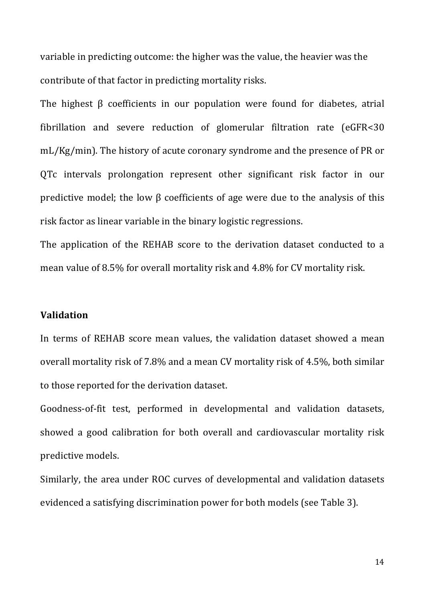variable in predicting outcome: the higher was the value, the heavier was the contribute of that factor in predicting mortality risks.

The highest  $\beta$  coefficients in our population were found for diabetes, atrial fibrillation and severe reduction of glomerular filtration rate (eGFR<30 mL/Kg/min). The history of acute coronary syndrome and the presence of PR or QTc intervals prolongation represent other significant risk factor in our predictive model; the low  $\beta$  coefficients of age were due to the analysis of this risk factor as linear variable in the binary logistic regressions.

The application of the REHAB score to the derivation dataset conducted to a mean value of 8.5% for overall mortality risk and 4.8% for CV mortality risk.

#### **Validation**

In terms of REHAB score mean values, the validation dataset showed a mean overall mortality risk of 7.8% and a mean CV mortality risk of 4.5%, both similar to those reported for the derivation dataset.

Goodness-of-fit test, performed in developmental and validation datasets, showed a good calibration for both overall and cardiovascular mortality risk predictive models. 

Similarly, the area under ROC curves of developmental and validation datasets evidenced a satisfying discrimination power for both models (see Table 3).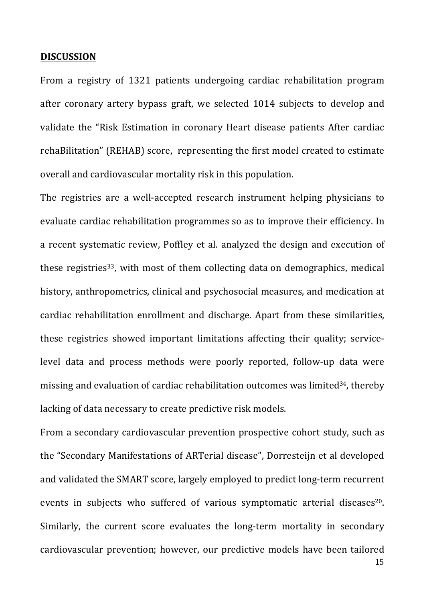#### **DISCUSSION**

From a registry of 1321 patients undergoing cardiac rehabilitation program after coronary artery bypass graft, we selected 1014 subjects to develop and validate the "Risk Estimation in coronary Heart disease patients After cardiac rehaBilitation" (REHAB) score, representing the first model created to estimate overall and cardiovascular mortality risk in this population.

The registries are a well-accepted research instrument helping physicians to evaluate cardiac rehabilitation programmes so as to improve their efficiency. In a recent systematic review, Poffley et al. analyzed the design and execution of these registries<sup>33</sup>, with most of them collecting data on demographics, medical history, anthropometrics, clinical and psychosocial measures, and medication at cardiac rehabilitation enrollment and discharge. Apart from these similarities, these registries showed important limitations affecting their quality; servicelevel data and process methods were poorly reported, follow-up data were missing and evaluation of cardiac rehabilitation outcomes was limited<sup>34</sup>, thereby lacking of data necessary to create predictive risk models.

From a secondary cardiovascular prevention prospective cohort study, such as the "Secondary Manifestations of ARTerial disease", Dorresteijn et al developed and validated the SMART score, largely employed to predict long-term recurrent events in subjects who suffered of various symptomatic arterial diseases<sup>20</sup>. Similarly, the current score evaluates the long-term mortality in secondary cardiovascular prevention; however, our predictive models have been tailored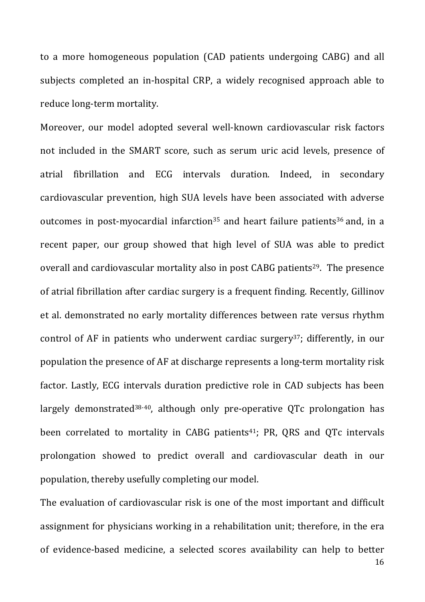to a more homogeneous population (CAD patients undergoing CABG) and all subjects completed an in-hospital CRP, a widely recognised approach able to reduce long-term mortality.

Moreover, our model adopted several well-known cardiovascular risk factors not included in the SMART score, such as serum uric acid levels, presence of atrial fibrillation and ECG intervals duration. Indeed, in secondary cardiovascular prevention, high SUA levels have been associated with adverse outcomes in post-myocardial infarction<sup>35</sup> and heart failure patients<sup>36</sup> and, in a recent paper, our group showed that high level of SUA was able to predict overall and cardiovascular mortality also in post CABG patients<sup>29</sup>. The presence of atrial fibrillation after cardiac surgery is a frequent finding. Recently, Gillinov et al. demonstrated no early mortality differences between rate versus rhythm control of AF in patients who underwent cardiac surgery<sup>37</sup>; differently, in our population the presence of AF at discharge represents a long-term mortality risk factor. Lastly, ECG intervals duration predictive role in CAD subjects has been largely demonstrated<sup>38-40</sup>, although only pre-operative QTc prolongation has been correlated to mortality in CABG patients<sup>41</sup>; PR, QRS and QTc intervals prolongation showed to predict overall and cardiovascular death in our population, thereby usefully completing our model.

16 The evaluation of cardiovascular risk is one of the most important and difficult assignment for physicians working in a rehabilitation unit; therefore, in the era of evidence-based medicine, a selected scores availability can help to better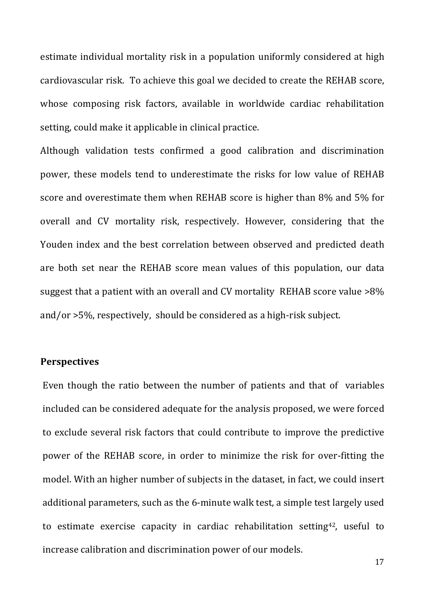estimate individual mortality risk in a population uniformly considered at high cardiovascular risk. To achieve this goal we decided to create the REHAB score, whose composing risk factors, available in worldwide cardiac rehabilitation setting, could make it applicable in clinical practice.

Although validation tests confirmed a good calibration and discrimination power, these models tend to underestimate the risks for low value of REHAB score and overestimate them when REHAB score is higher than 8% and 5% for overall and CV mortality risk, respectively. However, considering that the Youden index and the best correlation between observed and predicted death are both set near the REHAB score mean values of this population, our data suggest that a patient with an overall and CV mortality  $REHAB$  score value  $>8\%$ and/or  $>5\%$ , respectively, should be considered as a high-risk subject.

## **Perspectives**

Even though the ratio between the number of patients and that of variables included can be considered adequate for the analysis proposed, we were forced to exclude several risk factors that could contribute to improve the predictive power of the REHAB score, in order to minimize the risk for over-fitting the model. With an higher number of subjects in the dataset, in fact, we could insert additional parameters, such as the 6-minute walk test, a simple test largely used to estimate exercise capacity in cardiac rehabilitation setting<sup>42</sup>, useful to increase calibration and discrimination power of our models.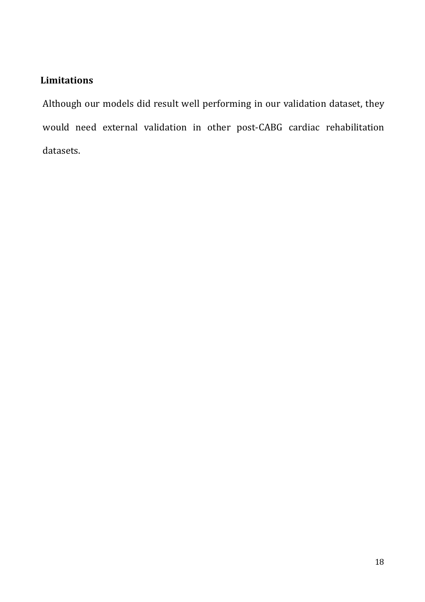# **Limitations**

Although our models did result well performing in our validation dataset, they would need external validation in other post-CABG cardiac rehabilitation datasets.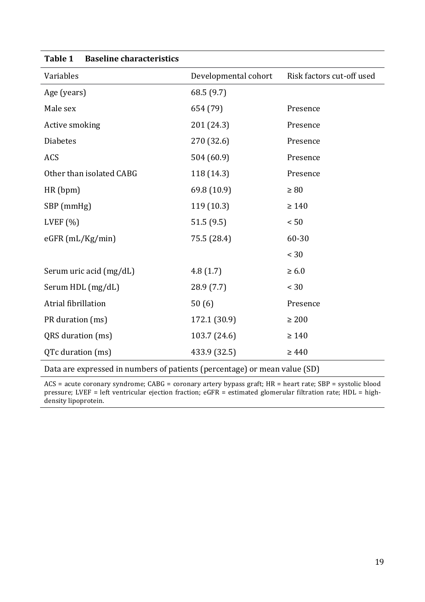| Tanie T<br>Daschlie Gilai actei istics |                      |                           |
|----------------------------------------|----------------------|---------------------------|
| Variables                              | Developmental cohort | Risk factors cut-off used |
| Age (years)                            | 68.5 (9.7)           |                           |
| Male sex                               | 654 (79)             | Presence                  |
| Active smoking                         | 201 (24.3)           | Presence                  |
| <b>Diabetes</b>                        | 270 (32.6)           | Presence                  |
| <b>ACS</b>                             | 504 (60.9)           | Presence                  |
| Other than isolated CABG               | 118 (14.3)           | Presence                  |
| HR(bpm)                                | 69.8 (10.9)          | $\geq 80$                 |
| SBP (mmHg)                             | 119 (10.3)           | $\geq 140$                |
| LVEF $(%)$                             | 51.5(9.5)            | < 50                      |
| $eGFR$ (mL/Kg/min)                     | 75.5 (28.4)          | 60-30                     |
|                                        |                      | < 30                      |
| Serum uric acid (mg/dL)                | 4.8(1.7)             | $\geq 6.0$                |
| Serum HDL (mg/dL)                      | 28.9 (7.7)           | < 30                      |
| Atrial fibrillation                    | 50(6)                | Presence                  |
| PR duration (ms)                       | 172.1 (30.9)         | $\geq 200$                |
| QRS duration (ms)                      | 103.7 (24.6)         | $\geq 140$                |
| QTc duration (ms)                      | 433.9 (32.5)         | $\geq 440$                |
|                                        |                      |                           |

# **Table 1 Baseline characteristics**

Data are expressed in numbers of patients (percentage) or mean value (SD)

 $ACS = acute \text{ concary syndrome}; \text{CABG} = \text{coronary artery bypass}$  graft;  $HR = heart \text{ rate};$   $SBP = \text{systolic blood}$ pressure; LVEF = left ventricular ejection fraction;  $e$ GFR = estimated glomerular filtration rate; HDL = highdensity lipoprotein.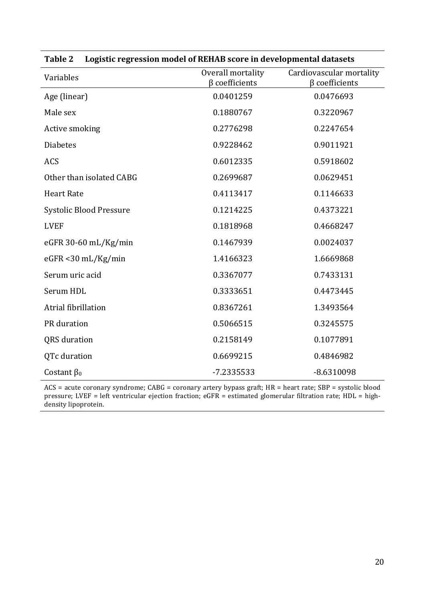| Variables                      | Overall mortality<br>$\beta$ coefficients | Cardiovascular mortality<br>$\beta$ coefficients |
|--------------------------------|-------------------------------------------|--------------------------------------------------|
| Age (linear)                   | 0.0401259                                 | 0.0476693                                        |
| Male sex                       | 0.1880767                                 | 0.3220967                                        |
| Active smoking                 | 0.2776298                                 | 0.2247654                                        |
| <b>Diabetes</b>                | 0.9228462                                 | 0.9011921                                        |
| <b>ACS</b>                     | 0.6012335                                 | 0.5918602                                        |
| Other than isolated CABG       | 0.2699687                                 | 0.0629451                                        |
| <b>Heart Rate</b>              | 0.4113417                                 | 0.1146633                                        |
| <b>Systolic Blood Pressure</b> | 0.1214225                                 | 0.4373221                                        |
| <b>LVEF</b>                    | 0.1818968                                 | 0.4668247                                        |
| eGFR 30-60 mL/Kg/min           | 0.1467939                                 | 0.0024037                                        |
| $eGFR < 30$ mL/Kg/min          | 1.4166323                                 | 1.6669868                                        |
| Serum uric acid                | 0.3367077                                 | 0.7433131                                        |
| Serum HDL                      | 0.3333651                                 | 0.4473445                                        |
| Atrial fibrillation            | 0.8367261                                 | 1.3493564                                        |
| PR duration                    | 0.5066515                                 | 0.3245575                                        |
| <b>QRS</b> duration            | 0.2158149                                 | 0.1077891                                        |
| QTc duration                   | 0.6699215                                 | 0.4846982                                        |
| Costant $\beta_0$              | -7.2335533                                | $-8.6310098$                                     |

| Table 2 Logistic regression model of REHAB score in developmental datasets |  |
|----------------------------------------------------------------------------|--|

ACS = acute coronary syndrome; CABG = coronary artery bypass graft; HR = heart rate; SBP = systolic blood pressure; LVEF = left ventricular ejection fraction;  $e$ GFR = estimated glomerular filtration rate; HDL = highdensity lipoprotein.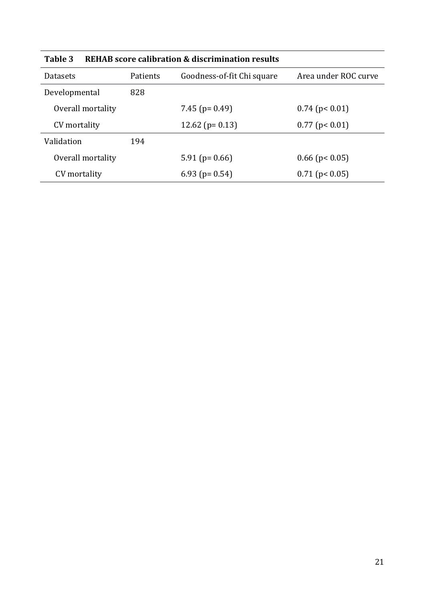| таше э<br>REHAD SCOTE CAMBRIDGE & UISCHMINIQUON FESULIS |          |                            |                      |  |
|---------------------------------------------------------|----------|----------------------------|----------------------|--|
| Datasets                                                | Patients | Goodness-of-fit Chi square | Area under ROC curve |  |
| Developmental                                           | 828      |                            |                      |  |
| Overall mortality                                       |          | 7.45 ( $p = 0.49$ )        | $0.74$ (p< 0.01)     |  |
| CV mortality                                            |          | 12.62 ( $p = 0.13$ )       | $0.77$ (p< 0.01)     |  |
| Validation                                              | 194      |                            |                      |  |
| Overall mortality                                       |          | $5.91$ (p= 0.66)           | $0.66$ (p< 0.05)     |  |
| CV mortality                                            |          | 6.93 ( $p = 0.54$ )        | $0.71$ (p< 0.05)     |  |

**Table 3 REHAB score calibration & discrimination results**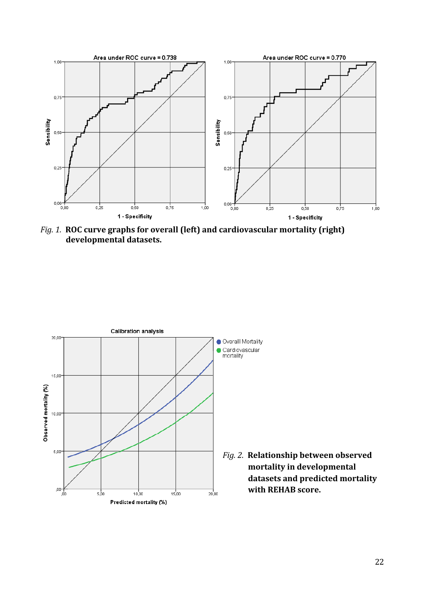

*Fig. 1.* ROC curve graphs for overall (left) and cardiovascular mortality (right) **developmental datasets.**



Fig. 2. Relationship between observed mortality in developmental datasets and predicted mortality **with REHAB score.**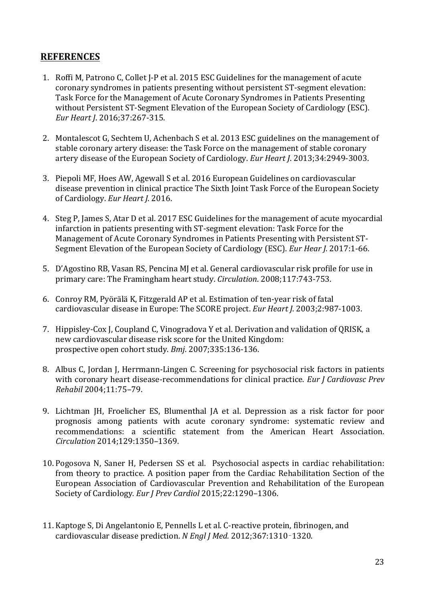# **REFERENCES**

- 1. Roffi M, Patrono C, Collet I-P et al. 2015 ESC Guidelines for the management of acute coronary syndromes in patients presenting without persistent ST-segment elevation: Task Force for the Management of Acute Coronary Syndromes in Patients Presenting without Persistent ST-Segment Elevation of the European Society of Cardiology (ESC). *Eur Heart J*. 2016;37:267-315.
- 2. Montalescot G, Sechtem U, Achenbach S et al. 2013 ESC guidelines on the management of stable coronary artery disease: the Task Force on the management of stable coronary artery disease of the European Society of Cardiology. *Eur Heart J.* 2013;34:2949-3003.
- 3. Piepoli MF, Hoes AW, Agewall S et al. 2016 European Guidelines on cardiovascular disease prevention in clinical practice The Sixth Joint Task Force of the European Society of Cardiology. *Eur Heart J.* 2016.
- 4. Steg P, James S, Atar D et al. 2017 ESC Guidelines for the management of acute myocardial infarction in patients presenting with ST-segment elevation: Task Force for the Management of Acute Coronary Syndromes in Patients Presenting with Persistent ST-Segment Elevation of the European Society of Cardiology (ESC). *Eur Hear I*, 2017:1-66.
- 5. D'Agostino RB, Vasan RS, Pencina MJ et al. General cardiovascular risk profile for use in primary care: The Framingham heart study. *Circulation*. 2008;117:743-753.
- 6. Conroy RM, Pyörälä K, Fitzgerald AP et al. Estimation of ten-year risk of fatal cardiovascular disease in Europe: The SCORE project. *Eur Heart J.* 2003;2:987-1003.
- 7. Hippisley-Cox J, Coupland C, Vinogradova Y et al. Derivation and validation of QRISK, a new cardiovascular disease risk score for the United Kingdom: prospective open cohort study. *Bmj.* 2007;335:136-136.
- 8. Albus C, Jordan J, Herrmann-Lingen C. Screening for psychosocial risk factors in patients with coronary heart disease-recommendations for clinical practice. *Eur J Cardiovasc Prev Rehabil* 2004;11:75–79.
- 9. Lichtman IH, Froelicher ES, Blumenthal IA et al. Depression as a risk factor for poor prognosis among patients with acute coronary syndrome: systematic review and recommendations: a scientific statement from the American Heart Association. *Circulation* 2014;129:1350–1369.
- 10. Pogosova N, Saner H, Pedersen SS et al. Psychosocial aspects in cardiac rehabilitation: from theory to practice. A position paper from the Cardiac Rehabilitation Section of the European Association of Cardiovascular Prevention and Rehabilitation of the European Society of Cardiology. Eur *J Prev Cardiol* 2015;22:1290-1306.
- 11. Kaptoge S, Di Angelantonio E, Pennells L et al. C-reactive protein, fibrinogen, and cardiovascular disease prediction. N Engl J Med. 2012;367:1310-1320.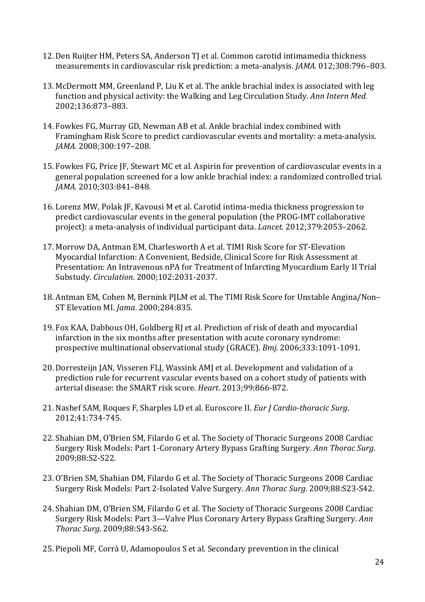- 12. Den Ruijter HM, Peters SA, Anderson TJ et al. Common carotid intimamedia thickness measurements in cardiovascular risk prediction: a meta-analysis. *JAMA.* 012;308:796-803.
- 13. McDermott MM, Greenland P, Liu K et al. The ankle brachial index is associated with leg function and physical activity: the Walking and Leg Circulation Study. *Ann Intern Med.* 2002;136:873–883.
- 14. Fowkes FG, Murray GD, Newman AB et al. Ankle brachial index combined with Framingham Risk Score to predict cardiovascular events and mortality: a meta-analysis. *JAMA.* 2008;300:197–208.
- 15. Fowkes FG, Price JF, Stewart MC et al. Aspirin for prevention of cardiovascular events in a general population screened for a low ankle brachial index: a randomized controlled trial. *JAMA.* 2010;303:841–848.
- 16. Lorenz MW, Polak JF, Kavousi M et al. Carotid intima-media thickness progression to predict cardiovascular events in the general population (the PROG-IMT collaborative project): a meta-analysis of individual participant data. *Lancet.* 2012;379:2053–2062.
- 17. Morrow DA, Antman EM, Charlesworth A et al. TIMI Risk Score for ST-Elevation Myocardial Infarction: A Convenient, Bedside, Clinical Score for Risk Assessment at Presentation: An Intravenous nPA for Treatment of Infarcting Myocardium Early II Trial Substudy. *Circulation*. 2000;102:2031-2037.
- 18. Antman EM, Cohen M, Bernink PJLM et al. The TIMI Risk Score for Unstable Angina/Non– ST Elevation MI. *Jama*. 2000;284:835.
- 19. Fox KAA, Dabbous OH, Goldberg RJ et al. Prediction of risk of death and myocardial infarction in the six months after presentation with acute coronary syndrome: prospective multinational observational study (GRACE). *Bmj*. 2006;333:1091-1091.
- 20. Dorresteijn JAN, Visseren FLJ, Wassink AMJ et al. Development and validation of a prediction rule for recurrent vascular events based on a cohort study of patients with arterial disease: the SMART risk score. *Heart*. 2013:99:866-872.
- 21. Nashef SAM, Roques F, Sharples LD et al. Euroscore II. *Eur J Cardio-thoracic Surg*. 2012;41:734-745.
- 22. Shahian DM, O'Brien SM, Filardo G et al. The Society of Thoracic Surgeons 2008 Cardiac Surgery Risk Models: Part 1-Coronary Artery Bypass Grafting Surgery. Ann Thorac Surg. 2009;88:S2-S22.
- 23. O'Brien SM, Shahian DM, Filardo G et al. The Society of Thoracic Surgeons 2008 Cardiac Surgery Risk Models: Part 2-Isolated Valve Surgery. Ann Thorac Surg. 2009;88:S23-S42.
- 24. Shahian DM, O'Brien SM, Filardo G et al. The Society of Thoracic Surgeons 2008 Cardiac Surgery Risk Models: Part 3—Valve Plus Coronary Artery Bypass Grafting Surgery. Ann *Thorac Surg*. 2009;88:S43-S62.
- 25. Piepoli MF, Corrà U, Adamopoulos S et al. Secondary prevention in the clinical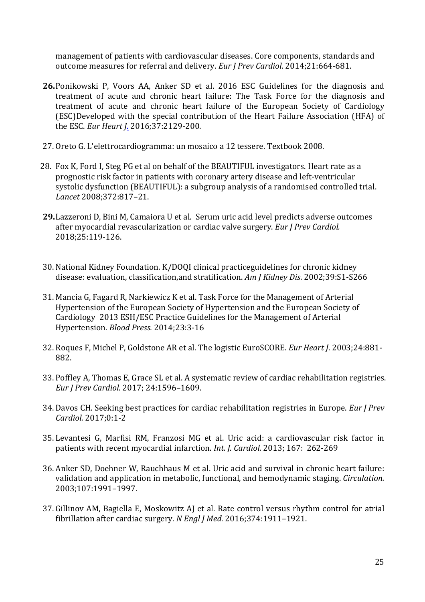management of patients with cardiovascular diseases. Core components, standards and outcome measures for referral and delivery. *Eur I Prev Cardiol*. 2014:21:664-681.

- **26.** Ponikowski P, Voors AA, Anker SD et al. 2016 ESC Guidelines for the diagnosis and treatment of acute and chronic heart failure: The Task Force for the diagnosis and treatment of acute and chronic heart failure of the European Society of Cardiology (ESC)Developed with the special contribution of the Heart Failure Association (HFA) of the *ESC. Eur Heart J.* 2016;37:2129-200.
- 27. Oreto G. L'elettrocardiogramma: un mosaico a 12 tessere. Textbook 2008.
- 28. Fox K, Ford I, Steg PG et al on behalf of the BEAUTIFUL investigators. Heart rate as a prognostic risk factor in patients with coronary artery disease and left-ventricular systolic dysfunction (BEAUTIFUL): a subgroup analysis of a randomised controlled trial. *Lancet* 2008;372:817–21.
- **29.** Lazzeroni D, Bini M, Camaiora U et al. Serum uric acid level predicts adverse outcomes after myocardial revascularization or cardiac valve surgery. *Eur J Prev Cardiol.* 2018;25:119-126.
- 30. National Kidney Foundation. K/DOQI clinical practiceguidelines for chronic kidney disease: evaluation, classification,and stratification. Am J Kidney Dis. 2002;39:S1-S266
- 31. Mancia G, Fagard R, Narkiewicz K et al. Task Force for the Management of Arterial Hypertension of the European Society of Hypertension and the European Society of Cardiology 2013 ESH/ESC Practice Guidelines for the Management of Arterial Hypertension. *Blood Press.* 2014;23:3-16
- 32. Roques F, Michel P, Goldstone AR et al. The logistic EuroSCORE. *Eur Heart J*. 2003;24:881-882.
- 33. Poffley A, Thomas E, Grace SL et al. A systematic review of cardiac rehabilitation registries. *Eur J Prev Cardiol*. 2017; 24:1596–1609.
- 34. Davos CH. Seeking best practices for cardiac rehabilitation registries in Europe. *Eur J Prev Cardiol.* 2017;0:1-2
- 35. Levantesi G, Marfisi RM, Franzosi MG et al. Uric acid: a cardiovascular risk factor in patients with recent myocardial infarction. *Int. J. Cardiol.* 2013; 167: 262-269
- 36. Anker SD, Doehner W, Rauchhaus M et al. Uric acid and survival in chronic heart failure: validation and application in metabolic, functional, and hemodynamic staging. *Circulation.* 2003;107:1991–1997.
- 37. Gillinov AM, Bagiella E, Moskowitz AJ et al. Rate control versus rhythm control for atrial fibrillation after cardiac surgery. *N Engl J Med.* 2016;374:1911-1921.